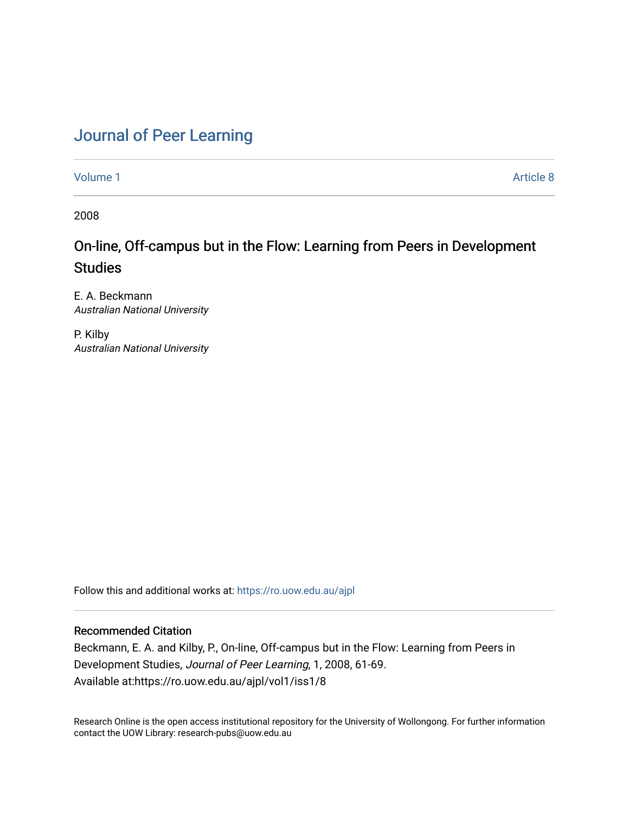# [Journal of Peer Learning](https://ro.uow.edu.au/ajpl)

[Volume 1](https://ro.uow.edu.au/ajpl/vol1) Article 8

2008

## On-line, Off-campus but in the Flow: Learning from Peers in Development **Studies**

E. A. Beckmann Australian National University

P. Kilby Australian National University

Follow this and additional works at: [https://ro.uow.edu.au/ajpl](https://ro.uow.edu.au/ajpl?utm_source=ro.uow.edu.au%2Fajpl%2Fvol1%2Fiss1%2F8&utm_medium=PDF&utm_campaign=PDFCoverPages) 

## Recommended Citation

Beckmann, E. A. and Kilby, P., On-line, Off-campus but in the Flow: Learning from Peers in Development Studies, Journal of Peer Learning, 1, 2008, 61-69. Available at:https://ro.uow.edu.au/ajpl/vol1/iss1/8

Research Online is the open access institutional repository for the University of Wollongong. For further information contact the UOW Library: research-pubs@uow.edu.au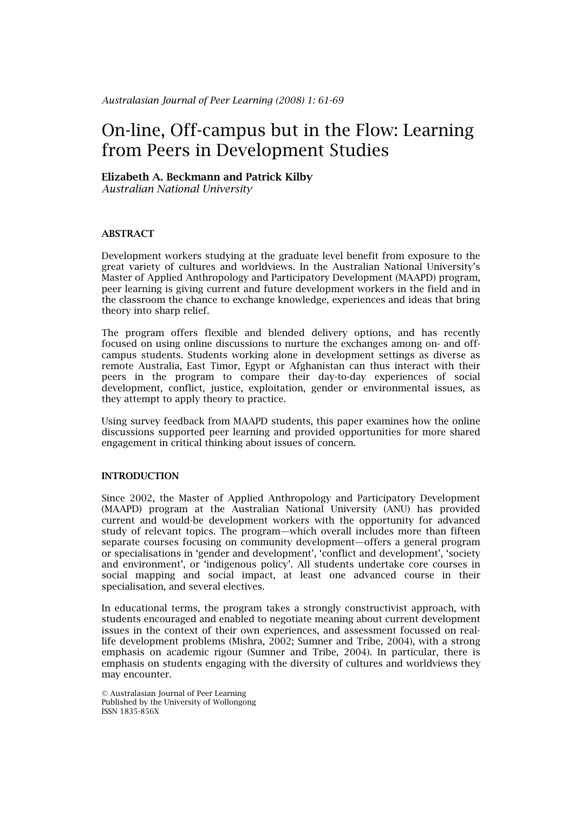# On-line, Off-campus but in the Flow: Learning from Peers in Development Studies

## Elizabeth A. Beckmann and Patrick Kilby

*Australian National University* 

## ABSTRACT

Development workers studying at the graduate level benefit from exposure to the great variety of cultures and worldviews. In the Australian National University's Master of Applied Anthropology and Participatory Development (MAAPD) program, peer learning is giving current and future development workers in the field and in the classroom the chance to exchange knowledge, experiences and ideas that bring theory into sharp relief.

The program offers flexible and blended delivery options, and has recently focused on using online discussions to nurture the exchanges among on- and offcampus students. Students working alone in development settings as diverse as remote Australia, East Timor, Egypt or Afghanistan can thus interact with their peers in the program to compare their day-to-day experiences of social development, conflict, justice, exploitation, gender or environmental issues, as they attempt to apply theory to practice.

Using survey feedback from MAAPD students, this paper examines how the online discussions supported peer learning and provided opportunities for more shared engagement in critical thinking about issues of concern.

## **INTRODUCTION**

Since 2002, the Master of Applied Anthropology and Participatory Development (MAAPD) program at the Australian National University (ANU) has provided current and would-be development workers with the opportunity for advanced study of relevant topics. The program—which overall includes more than fifteen separate courses focusing on community development—offers a general program or specialisations in 'gender and development', 'conflict and development', 'society and environment', or 'indigenous policy'. All students undertake core courses in social mapping and social impact, at least one advanced course in their specialisation, and several electives.

In educational terms, the program takes a strongly constructivist approach, with students encouraged and enabled to negotiate meaning about current development issues in the context of their own experiences, and assessment focussed on reallife development problems (Mishra, 2002; Sumner and Tribe, 2004), with a strong emphasis on academic rigour (Sumner and Tribe, 2004). In particular, there is emphasis on students engaging with the diversity of cultures and worldviews they may encounter.

<sup>©</sup> Australasian Journal of Peer Learning Published by the University of Wollongong ISSN 1835-856X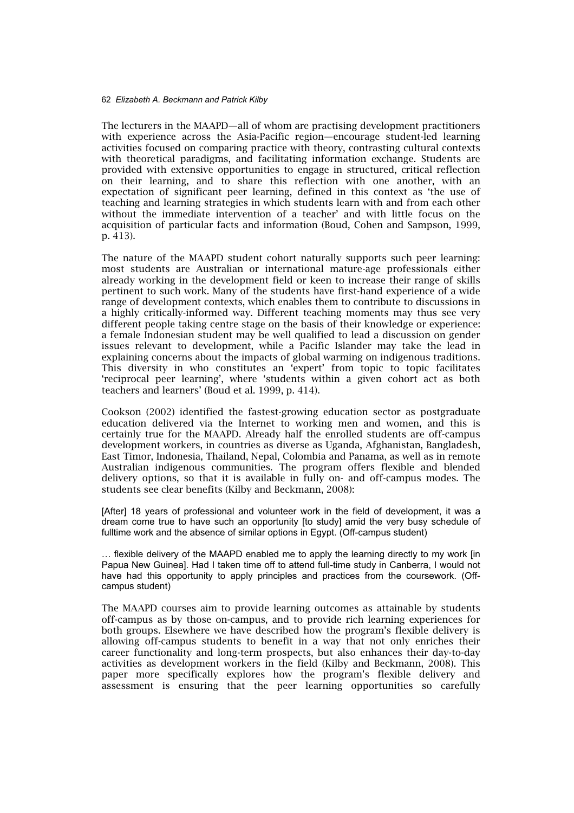The lecturers in the MAAPD—all of whom are practising development practitioners with experience across the Asia-Pacific region—encourage student-led learning activities focused on comparing practice with theory, contrasting cultural contexts with theoretical paradigms, and facilitating information exchange. Students are provided with extensive opportunities to engage in structured, critical reflection on their learning, and to share this reflection with one another, with an expectation of significant peer learning, defined in this context as 'the use of teaching and learning strategies in which students learn with and from each other without the immediate intervention of a teacher' and with little focus on the acquisition of particular facts and information (Boud, Cohen and Sampson, 1999, p. 413).

The nature of the MAAPD student cohort naturally supports such peer learning: most students are Australian or international mature-age professionals either already working in the development field or keen to increase their range of skills pertinent to such work. Many of the students have first-hand experience of a wide range of development contexts, which enables them to contribute to discussions in a highly critically-informed way. Different teaching moments may thus see very different people taking centre stage on the basis of their knowledge or experience: a female Indonesian student may be well qualified to lead a discussion on gender issues relevant to development, while a Pacific Islander may take the lead in explaining concerns about the impacts of global warming on indigenous traditions. This diversity in who constitutes an 'expert' from topic to topic facilitates 'reciprocal peer learning', where 'students within a given cohort act as both teachers and learners' (Boud et al. 1999, p. 414).

Cookson (2002) identified the fastest-growing education sector as postgraduate education delivered via the Internet to working men and women, and this is certainly true for the MAAPD. Already half the enrolled students are off-campus development workers, in countries as diverse as Uganda, Afghanistan, Bangladesh, East Timor, Indonesia, Thailand, Nepal, Colombia and Panama, as well as in remote Australian indigenous communities. The program offers flexible and blended delivery options, so that it is available in fully on- and off-campus modes. The students see clear benefits (Kilby and Beckmann, 2008):

[After] 18 years of professional and volunteer work in the field of development, it was a dream come true to have such an opportunity [to study] amid the very busy schedule of fulltime work and the absence of similar options in Egypt. (Off-campus student)

… flexible delivery of the MAAPD enabled me to apply the learning directly to my work [in Papua New Guinea]. Had I taken time off to attend full-time study in Canberra, I would not have had this opportunity to apply principles and practices from the coursework. (Offcampus student)

The MAAPD courses aim to provide learning outcomes as attainable by students off-campus as by those on-campus, and to provide rich learning experiences for both groups. Elsewhere we have described how the program's flexible delivery is allowing off-campus students to benefit in a way that not only enriches their career functionality and long-term prospects, but also enhances their day-to-day activities as development workers in the field (Kilby and Beckmann, 2008). This paper more specifically explores how the program's flexible delivery and assessment is ensuring that the peer learning opportunities so carefully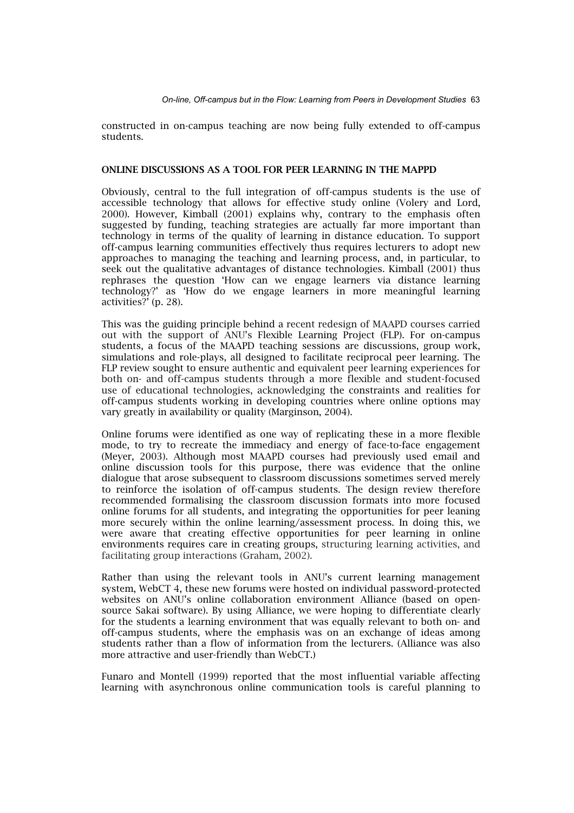constructed in on-campus teaching are now being fully extended to off-campus students.

## ONLINE DISCUSSIONS AS A TOOL FOR PEER LEARNING IN THE MAPPD

Obviously, central to the full integration of off-campus students is the use of accessible technology that allows for effective study online (Volery and Lord, 2000). However, Kimball (2001) explains why, contrary to the emphasis often suggested by funding, teaching strategies are actually far more important than technology in terms of the quality of learning in distance education. To support off-campus learning communities effectively thus requires lecturers to adopt new approaches to managing the teaching and learning process, and, in particular, to seek out the qualitative advantages of distance technologies. Kimball (2001) thus rephrases the question 'How can we engage learners via distance learning technology?' as 'How do we engage learners in more meaningful learning activities?' (p. 28).

This was the guiding principle behind a recent redesign of MAAPD courses carried out with the support of ANU's Flexible Learning Project (FLP). For on-campus students, a focus of the MAAPD teaching sessions are discussions, group work, simulations and role-plays, all designed to facilitate reciprocal peer learning. The FLP review sought to ensure authentic and equivalent peer learning experiences for both on- and off-campus students through a more flexible and student-focused use of educational technologies, acknowledging the constraints and realities for off-campus students working in developing countries where online options may vary greatly in availability or quality (Marginson, 2004).

Online forums were identified as one way of replicating these in a more flexible mode, to try to recreate the immediacy and energy of face-to-face engagement (Meyer, 2003). Although most MAAPD courses had previously used email and online discussion tools for this purpose, there was evidence that the online dialogue that arose subsequent to classroom discussions sometimes served merely to reinforce the isolation of off-campus students. The design review therefore recommended formalising the classroom discussion formats into more focused online forums for all students, and integrating the opportunities for peer leaning more securely within the online learning/assessment process. In doing this, we were aware that creating effective opportunities for peer learning in online environments requires care in creating groups, structuring learning activities, and facilitating group interactions (Graham, 2002).

Rather than using the relevant tools in ANU's current learning management system, WebCT 4, these new forums were hosted on individual password-protected websites on ANU's online collaboration environment Alliance (based on opensource Sakai software). By using Alliance, we were hoping to differentiate clearly for the students a learning environment that was equally relevant to both on- and off-campus students, where the emphasis was on an exchange of ideas among students rather than a flow of information from the lecturers. (Alliance was also more attractive and user-friendly than WebCT.)

Funaro and Montell (1999) reported that the most influential variable affecting learning with asynchronous online communication tools is careful planning to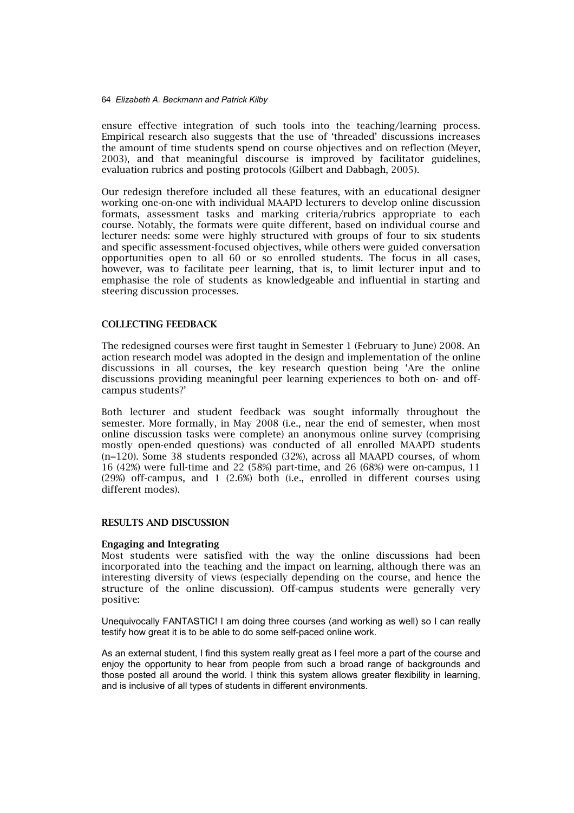ensure effective integration of such tools into the teaching/learning process. Empirical research also suggests that the use of 'threaded' discussions increases the amount of time students spend on course objectives and on reflection (Meyer, 2003), and that meaningful discourse is improved by facilitator guidelines, evaluation rubrics and posting protocols (Gilbert and Dabbagh, 2005).

Our redesign therefore included all these features, with an educational designer working one-on-one with individual MAAPD lecturers to develop online discussion formats, assessment tasks and marking criteria/rubrics appropriate to each course. Notably, the formats were quite different, based on individual course and lecturer needs: some were highly structured with groups of four to six students and specific assessment-focused objectives, while others were guided conversation opportunities open to all 60 or so enrolled students. The focus in all cases, however, was to facilitate peer learning, that is, to limit lecturer input and to emphasise the role of students as knowledgeable and influential in starting and steering discussion processes.

## COLLECTING FEEDBACK

The redesigned courses were first taught in Semester 1 (February to June) 2008. An action research model was adopted in the design and implementation of the online discussions in all courses, the key research question being 'Are the online discussions providing meaningful peer learning experiences to both on- and offcampus students?'

Both lecturer and student feedback was sought informally throughout the semester. More formally, in May 2008 (i.e., near the end of semester, when most online discussion tasks were complete) an anonymous online survey (comprising mostly open-ended questions) was conducted of all enrolled MAAPD students (n=120). Some 38 students responded (32%), across all MAAPD courses, of whom 16 (42%) were full-time and 22 (58%) part-time, and 26 (68%) were on-campus, 11 (29%) off-campus, and 1 (2.6%) both (i.e., enrolled in different courses using different modes).

## RESULTS AND DISCUSSION

#### Engaging and Integrating

Most students were satisfied with the way the online discussions had been incorporated into the teaching and the impact on learning, although there was an interesting diversity of views (especially depending on the course, and hence the structure of the online discussion). Off-campus students were generally very positive:

Unequivocally FANTASTIC! I am doing three courses (and working as well) so I can really testify how great it is to be able to do some self-paced online work.

As an external student, I find this system really great as I feel more a part of the course and enjoy the opportunity to hear from people from such a broad range of backgrounds and those posted all around the world. I think this system allows greater flexibility in learning, and is inclusive of all types of students in different environments.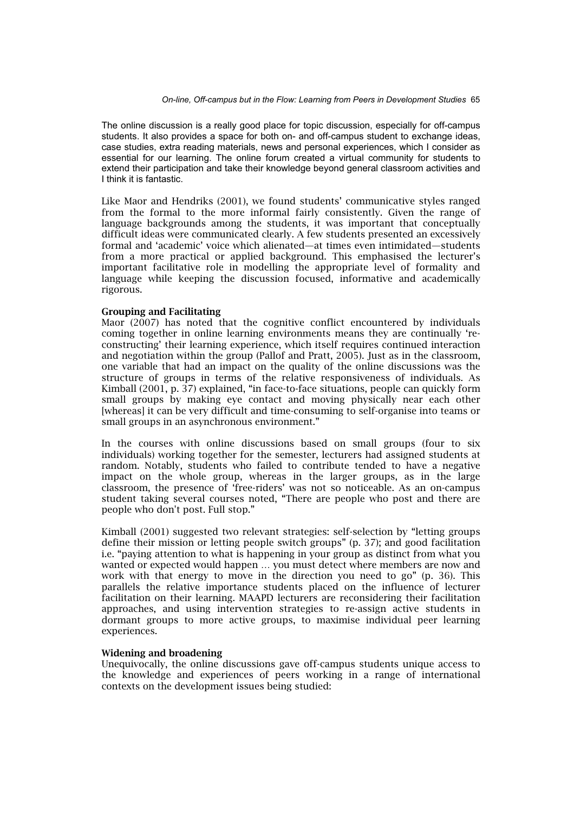The online discussion is a really good place for topic discussion, especially for off-campus students. It also provides a space for both on- and off-campus student to exchange ideas, case studies, extra reading materials, news and personal experiences, which I consider as essential for our learning. The online forum created a virtual community for students to extend their participation and take their knowledge beyond general classroom activities and I think it is fantastic.

Like Maor and Hendriks (2001), we found students' communicative styles ranged from the formal to the more informal fairly consistently. Given the range of language backgrounds among the students, it was important that conceptually difficult ideas were communicated clearly. A few students presented an excessively formal and 'academic' voice which alienated—at times even intimidated—students from a more practical or applied background. This emphasised the lecturer's important facilitative role in modelling the appropriate level of formality and language while keeping the discussion focused, informative and academically rigorous.

## Grouping and Facilitating

Maor (2007) has noted that the cognitive conflict encountered by individuals coming together in online learning environments means they are continually 'reconstructing' their learning experience, which itself requires continued interaction and negotiation within the group (Pallof and Pratt, 2005). Just as in the classroom, one variable that had an impact on the quality of the online discussions was the structure of groups in terms of the relative responsiveness of individuals. As Kimball (2001, p. 37) explained, "in face-to-face situations, people can quickly form small groups by making eye contact and moving physically near each other [whereas] it can be very difficult and time-consuming to self-organise into teams or small groups in an asynchronous environment."

In the courses with online discussions based on small groups (four to six individuals) working together for the semester, lecturers had assigned students at random. Notably, students who failed to contribute tended to have a negative impact on the whole group, whereas in the larger groups, as in the large classroom, the presence of 'free-riders' was not so noticeable. As an on-campus student taking several courses noted, "There are people who post and there are people who don't post. Full stop."

Kimball (2001) suggested two relevant strategies: self-selection by "letting groups define their mission or letting people switch groups" (p. 37); and good facilitation i.e. "paying attention to what is happening in your group as distinct from what you wanted or expected would happen … you must detect where members are now and work with that energy to move in the direction you need to go" (p. 36). This parallels the relative importance students placed on the influence of lecturer facilitation on their learning. MAAPD lecturers are reconsidering their facilitation approaches, and using intervention strategies to re-assign active students in dormant groups to more active groups, to maximise individual peer learning experiences.

## Widening and broadening

Unequivocally, the online discussions gave off-campus students unique access to the knowledge and experiences of peers working in a range of international contexts on the development issues being studied: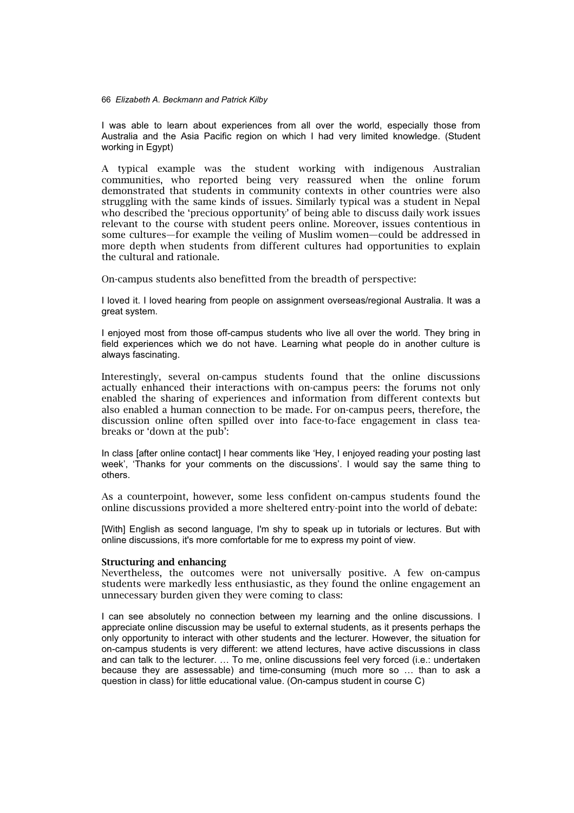I was able to learn about experiences from all over the world, especially those from Australia and the Asia Pacific region on which I had very limited knowledge. (Student working in Egypt)

A typical example was the student working with indigenous Australian communities, who reported being very reassured when the online forum demonstrated that students in community contexts in other countries were also struggling with the same kinds of issues. Similarly typical was a student in Nepal who described the 'precious opportunity' of being able to discuss daily work issues relevant to the course with student peers online. Moreover, issues contentious in some cultures—for example the veiling of Muslim women—could be addressed in more depth when students from different cultures had opportunities to explain the cultural and rationale.

On-campus students also benefitted from the breadth of perspective:

I loved it. I loved hearing from people on assignment overseas/regional Australia. It was a great system.

I enjoyed most from those off-campus students who live all over the world. They bring in field experiences which we do not have. Learning what people do in another culture is always fascinating.

Interestingly, several on-campus students found that the online discussions actually enhanced their interactions with on-campus peers: the forums not only enabled the sharing of experiences and information from different contexts but also enabled a human connection to be made. For on-campus peers, therefore, the discussion online often spilled over into face-to-face engagement in class teabreaks or 'down at the pub':

In class [after online contact] I hear comments like 'Hey, I enjoyed reading your posting last week', 'Thanks for your comments on the discussions'. I would say the same thing to others.

As a counterpoint, however, some less confident on-campus students found the online discussions provided a more sheltered entry-point into the world of debate:

[With] English as second language, I'm shy to speak up in tutorials or lectures. But with online discussions, it's more comfortable for me to express my point of view.

#### Structuring and enhancing

Nevertheless, the outcomes were not universally positive. A few on-campus students were markedly less enthusiastic, as they found the online engagement an unnecessary burden given they were coming to class:

I can see absolutely no connection between my learning and the online discussions. I appreciate online discussion may be useful to external students, as it presents perhaps the only opportunity to interact with other students and the lecturer. However, the situation for on-campus students is very different: we attend lectures, have active discussions in class and can talk to the lecturer. … To me, online discussions feel very forced (i.e.: undertaken because they are assessable) and time-consuming (much more so … than to ask a question in class) for little educational value. (On-campus student in course C)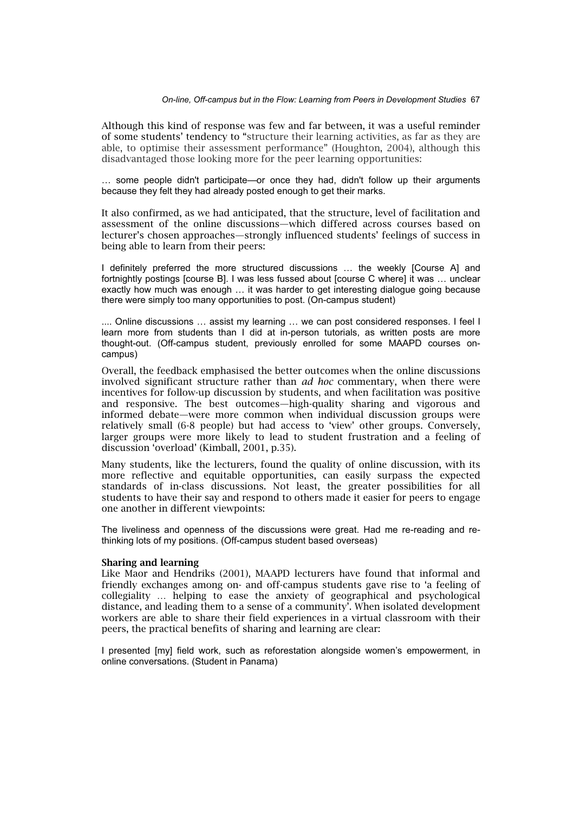#### *On-line, Off-campus but in the Flow: Learning from Peers in Development Studies* 67

Although this kind of response was few and far between, it was a useful reminder of some students' tendency to "structure their learning activities, as far as they are able, to optimise their assessment performance" (Houghton, 2004), although this disadvantaged those looking more for the peer learning opportunities:

… some people didn't participate—or once they had, didn't follow up their arguments because they felt they had already posted enough to get their marks.

It also confirmed, as we had anticipated, that the structure, level of facilitation and assessment of the online discussions—which differed across courses based on lecturer's chosen approaches—strongly influenced students' feelings of success in being able to learn from their peers:

I definitely preferred the more structured discussions … the weekly [Course A] and fortnightly postings [course B]. I was less fussed about [course C where] it was … unclear exactly how much was enough … it was harder to get interesting dialogue going because there were simply too many opportunities to post. (On-campus student)

.... Online discussions … assist my learning … we can post considered responses. I feel I learn more from students than I did at in-person tutorials, as written posts are more thought-out. (Off-campus student, previously enrolled for some MAAPD courses oncampus)

Overall, the feedback emphasised the better outcomes when the online discussions involved significant structure rather than *ad hoc* commentary, when there were incentives for follow-up discussion by students, and when facilitation was positive and responsive. The best outcomes—high-quality sharing and vigorous and informed debate—were more common when individual discussion groups were relatively small (6-8 people) but had access to 'view' other groups. Conversely, larger groups were more likely to lead to student frustration and a feeling of discussion 'overload' (Kimball, 2001, p.35).

Many students, like the lecturers, found the quality of online discussion, with its more reflective and equitable opportunities, can easily surpass the expected standards of in-class discussions. Not least, the greater possibilities for all students to have their say and respond to others made it easier for peers to engage one another in different viewpoints:

The liveliness and openness of the discussions were great. Had me re-reading and rethinking lots of my positions. (Off-campus student based overseas)

## Sharing and learning

Like Maor and Hendriks (2001), MAAPD lecturers have found that informal and friendly exchanges among on- and off-campus students gave rise to 'a feeling of collegiality … helping to ease the anxiety of geographical and psychological distance, and leading them to a sense of a community'. When isolated development workers are able to share their field experiences in a virtual classroom with their peers, the practical benefits of sharing and learning are clear:

I presented [my] field work, such as reforestation alongside women's empowerment, in online conversations. (Student in Panama)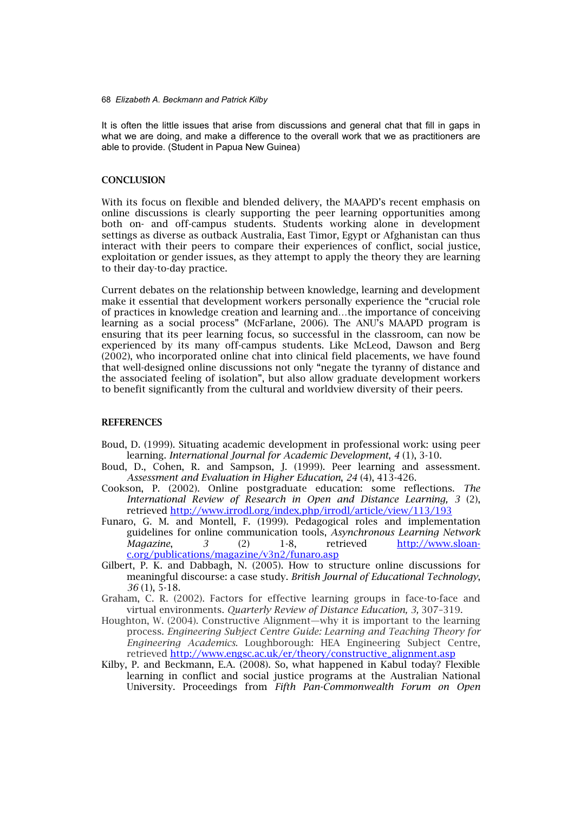It is often the little issues that arise from discussions and general chat that fill in gaps in what we are doing, and make a difference to the overall work that we as practitioners are able to provide. (Student in Papua New Guinea)

## **CONCLUSION**

With its focus on flexible and blended delivery, the MAAPD's recent emphasis on online discussions is clearly supporting the peer learning opportunities among both on- and off-campus students. Students working alone in development settings as diverse as outback Australia, East Timor, Egypt or Afghanistan can thus interact with their peers to compare their experiences of conflict, social justice, exploitation or gender issues, as they attempt to apply the theory they are learning to their day-to-day practice.

Current debates on the relationship between knowledge, learning and development make it essential that development workers personally experience the "crucial role of practices in knowledge creation and learning and…the importance of conceiving learning as a social process" (McFarlane, 2006). The ANU's MAAPD program is ensuring that its peer learning focus, so successful in the classroom, can now be experienced by its many off-campus students. Like McLeod, Dawson and Berg (2002), who incorporated online chat into clinical field placements, we have found that well-designed online discussions not only "negate the tyranny of distance and the associated feeling of isolation", but also allow graduate development workers to benefit significantly from the cultural and worldview diversity of their peers.

#### **REFERENCES**

- Boud, D. (1999). Situating academic development in professional work: using peer learning. *International Journal for Academic Development*, *4* (1), 3-10.
- Boud, D., Cohen, R. and Sampson, J. (1999). Peer learning and assessment. *Assessment and Evaluation in Higher Education*, *24* (4), 413-426.
- Cookson, P. (2002). Online postgraduate education: some reflections. *The International Review of Research in Open and Distance Learning, 3* (2), retrieved http://www.irrodl.org/index.php/irrodl/article/view/113/193
- Funaro, G. M. and Montell, F. (1999). Pedagogical roles and implementation guidelines for online communication tools, *Asynchronous Learning Network Magazine*, *3* (2) 1-8, retrieved http://www.sloanc.org/publications/magazine/v3n2/funaro.asp
- Gilbert, P. K. and Dabbagh, N. (2005). How to structure online discussions for meaningful discourse: a case study. *British Journal of Educational Technology*, *36* (1), 5-18.
- Graham, C. R. (2002). Factors for effective learning groups in face-to-face and virtual environments. *Quarterly Review of Distance Education, 3,* 307–319.
- Houghton, W. (2004). Constructive Alignment—why it is important to the learning process. *Engineering Subject Centre Guide: Learning and Teaching Theory for Engineering Academics.* Loughborough: HEA Engineering Subject Centre, retrieved http://www.engsc.ac.uk/er/theory/constructive\_alignment.asp
- Kilby, P. and Beckmann, E.A. (2008). So, what happened in Kabul today? Flexible learning in conflict and social justice programs at the Australian National University. Proceedings from *Fifth Pan-Commonwealth Forum on Open*